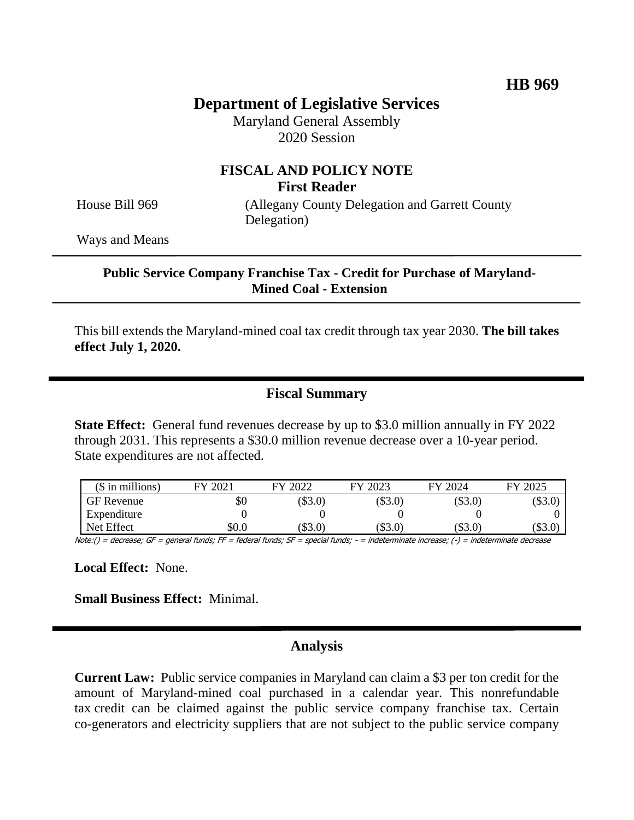# **Department of Legislative Services**

Maryland General Assembly 2020 Session

## **FISCAL AND POLICY NOTE First Reader**

House Bill 969 (Allegany County Delegation and Garrett County Delegation)

Ways and Means

#### **Public Service Company Franchise Tax - Credit for Purchase of Maryland-Mined Coal - Extension**

This bill extends the Maryland-mined coal tax credit through tax year 2030. **The bill takes effect July 1, 2020.**

### **Fiscal Summary**

**State Effect:** General fund revenues decrease by up to \$3.0 million annually in FY 2022 through 2031. This represents a \$30.0 million revenue decrease over a 10-year period. State expenditures are not affected.

| $($$ in millions) | 2021  | FY 2022   | FY 2023 | FY 2024   | FY 2025 |
|-------------------|-------|-----------|---------|-----------|---------|
| <b>GF</b> Revenue | \$0   | $(\$3.0)$ | \$3.0)  | $(\$3.0)$ | $\$3.0$ |
| Expenditure       |       |           |         |           |         |
| Net Effect        | \$0.0 | \$3.0)    | \$3.0   | $(\$3.0)$ | (\$3.0  |

Note:() = decrease; GF = general funds; FF = federal funds; SF = special funds; - = indeterminate increase; (-) = indeterminate decrease

**Local Effect:** None.

**Small Business Effect:** Minimal.

#### **Analysis**

**Current Law:** Public service companies in Maryland can claim a \$3 per ton credit for the amount of Maryland-mined coal purchased in a calendar year. This nonrefundable tax credit can be claimed against the public service company franchise tax. Certain co-generators and electricity suppliers that are not subject to the public service company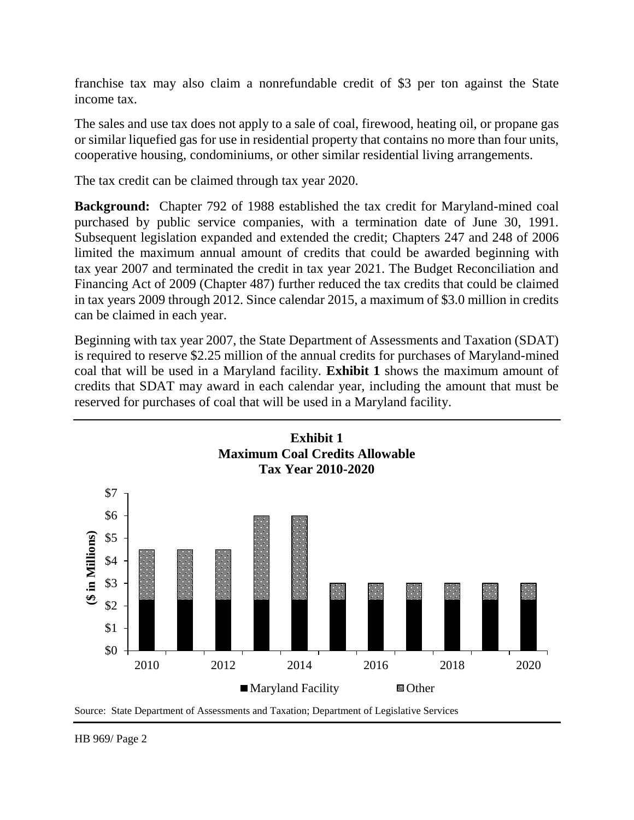franchise tax may also claim a nonrefundable credit of \$3 per ton against the State income tax.

The sales and use tax does not apply to a sale of coal, firewood, heating oil, or propane gas or similar liquefied gas for use in residential property that contains no more than four units, cooperative housing, condominiums, or other similar residential living arrangements.

The tax credit can be claimed through tax year 2020.

**Background:** Chapter 792 of 1988 established the tax credit for Maryland-mined coal purchased by public service companies, with a termination date of June 30, 1991. Subsequent legislation expanded and extended the credit; Chapters 247 and 248 of 2006 limited the maximum annual amount of credits that could be awarded beginning with tax year 2007 and terminated the credit in tax year 2021. The Budget Reconciliation and Financing Act of 2009 (Chapter 487) further reduced the tax credits that could be claimed in tax years 2009 through 2012. Since calendar 2015, a maximum of \$3.0 million in credits can be claimed in each year.

Beginning with tax year 2007, the State Department of Assessments and Taxation (SDAT) is required to reserve \$2.25 million of the annual credits for purchases of Maryland-mined coal that will be used in a Maryland facility. **Exhibit 1** shows the maximum amount of credits that SDAT may award in each calendar year, including the amount that must be reserved for purchases of coal that will be used in a Maryland facility.



Source: State Department of Assessments and Taxation; Department of Legislative Services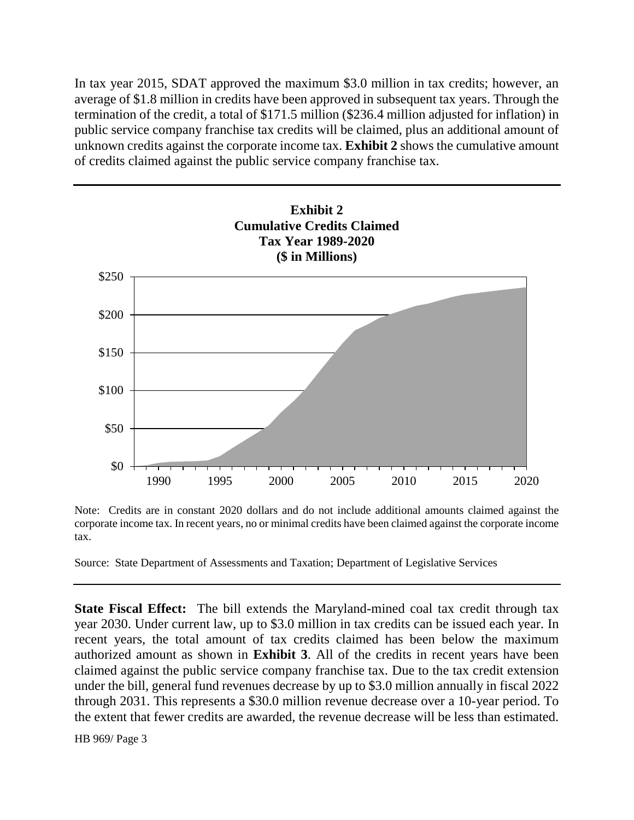In tax year 2015, SDAT approved the maximum \$3.0 million in tax credits; however, an average of \$1.8 million in credits have been approved in subsequent tax years. Through the termination of the credit, a total of \$171.5 million (\$236.4 million adjusted for inflation) in public service company franchise tax credits will be claimed, plus an additional amount of unknown credits against the corporate income tax. **Exhibit 2** shows the cumulative amount of credits claimed against the public service company franchise tax.



Note: Credits are in constant 2020 dollars and do not include additional amounts claimed against the corporate income tax. In recent years, no or minimal credits have been claimed against the corporate income tax.

Source: State Department of Assessments and Taxation; Department of Legislative Services

**State Fiscal Effect:** The bill extends the Maryland-mined coal tax credit through tax year 2030. Under current law, up to \$3.0 million in tax credits can be issued each year. In recent years, the total amount of tax credits claimed has been below the maximum authorized amount as shown in **Exhibit 3**. All of the credits in recent years have been claimed against the public service company franchise tax. Due to the tax credit extension under the bill, general fund revenues decrease by up to \$3.0 million annually in fiscal 2022 through 2031. This represents a \$30.0 million revenue decrease over a 10-year period. To the extent that fewer credits are awarded, the revenue decrease will be less than estimated.

HB 969/ Page 3